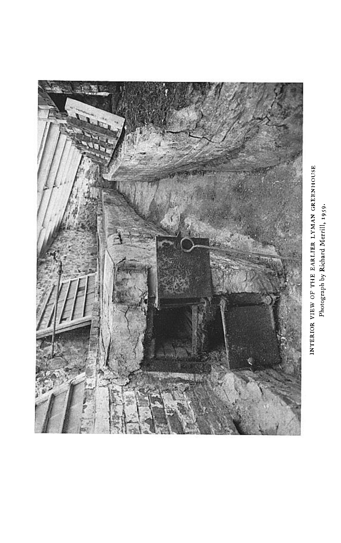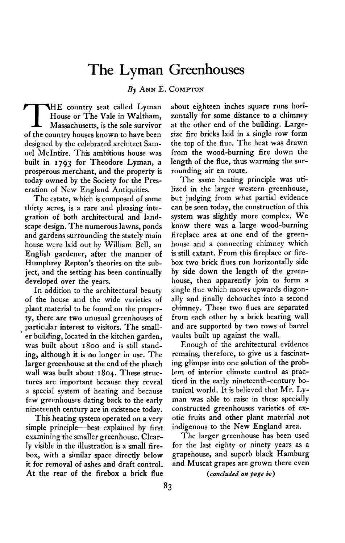# **The Lyman Greenhouses**

**By ANN E. COMPTON** 

**THE country seat called Lyman House or The Vale in Waltham, Massachusetts, is the sole survivor of the country houses known to have been designed by the celebrated architect Samuel McIntire. This ambitious house was built in 1793 for Theodore Lyman, a prosperous merchant, and the property is today owned by the Society for the Preseration of New England Antiquities.** 

**The estate, which is composed of some thirty acres, is a rare and pleasing integration of both architectural and landscape design. The numerous lawns, ponds and gardens surrounding the stately main house were laid out by William Bell, an English gardener, after the manner of Humphrey Repton's theories on the subject, and the setting has been continually developed over the years.** 

**In addition to the architectural beauty of the house and the wide varieties of plant material to be found on the property, there are two unusual greenhouses of particular interest to visitors. The small- \* er building, located in the kitchen garden, was built about 1800 and is still standing, although it is no longer in use. The larger greenhouse at the end of the pleach wall was built about 1804. These structures are important because they reveal a special system of heating and because few greenhouses dating back to the early nineteenth century are in existence today.** 

**This heating system operated on a very simple principle-best explained by first examining the smaller greenhouse. Clearly visible in the illustration is a small firebox, with a similar space directly below it for removal of ashes and draft control. At the rear of the firebox a brick flue** 

**about eighteen inches square runs horizontally for some distance to a chimney at the other end of the building. Largesize fire bricks laid in a single row form the top of the flue. The heat was drawn from the wood-burning fire down the length of the flue, thus warming the surrounding air en route.** 

**The same heating principle was utilized in the larger western greenhouse, but judging from what partial evidence can be seen today, the construction of this system was slightly more complex. We know there was a large wood-burning fireplace area at one end of the greenhouse and a connecting chimney which is still extant. From this fireplace or firebox two brick flues run horizontally side by side down the length of the greenhouse, then apparently join to form a single flue which moves upwards diagonally and finally debouches into a second chimney. These two flues are separated from each other by a brick bearing wall and are supported by two rows of barrel vaults built up against the wall.** 

**Enough of the architectural evidence remains, therefore, to give us a fascinating glimpse into one solution of the problem of interior climate control as practiced in the early nineteenth-century botanical world. It is believed that Mr. Lyman was able to raise in these specially constructed greenhouses varieties of exotic fruits and other plant material not indigenous to the New England area.** 

**The larger greenhouse has been used for the last eighty or ninety years as a grapehouse, and superb black Hamburg and Muscat grapes are grown there even** 

**(conchded on page iv)**